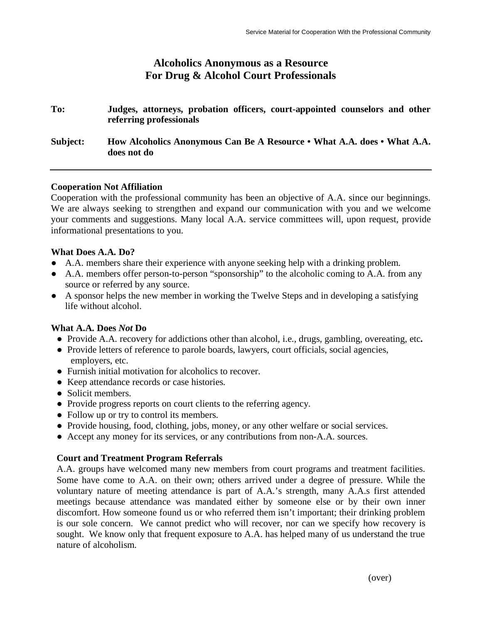# **Alcoholics Anonymous as a Resource For Drug & Alcohol Court Professionals**

| To:      | Judges, attorneys, probation officers, court-appointed counselors and other<br>referring professionals |
|----------|--------------------------------------------------------------------------------------------------------|
| Subject: | How Alcoholics Anonymous Can Be A Resource • What A.A. does • What A.A.<br>does not do                 |

## **Cooperation Not Affiliation**

Cooperation with the professional community has been an objective of A.A. since our beginnings. We are always seeking to strengthen and expand our communication with you and we welcome your comments and suggestions. Many local A.A. service committees will, upon request, provide informational presentations to you.

## **What Does A.A. Do?**

- A.A. members share their experience with anyone seeking help with a drinking problem.
- A.A. members offer person-to-person "sponsorship" to the alcoholic coming to A.A. from any source or referred by any source.
- A sponsor helps the new member in working the Twelve Steps and in developing a satisfying life without alcohol.

## **What A.A. Does** *Not* **Do**

- Provide A.A. recovery for addictions other than alcohol, i.e., drugs, gambling, overeating, etc**.**
- Provide letters of reference to parole boards, lawyers, court officials, social agencies, employers, etc.
- Furnish initial motivation for alcoholics to recover.
- Keep attendance records or case histories.
- Solicit members.
- Provide progress reports on court clients to the referring agency.
- Follow up or try to control its members.
- Provide housing, food, clothing, jobs, money, or any other welfare or social services.
- Accept any money for its services, or any contributions from non-A.A. sources.

# **Court and Treatment Program Referrals**

A.A. groups have welcomed many new members from court programs and treatment facilities. Some have come to A.A. on their own; others arrived under a degree of pressure. While the voluntary nature of meeting attendance is part of A.A.'s strength, many A.A.s first attended meetings because attendance was mandated either by someone else or by their own inner discomfort. How someone found us or who referred them isn't important; their drinking problem is our sole concern. We cannot predict who will recover, nor can we specify how recovery is sought. We know only that frequent exposure to A.A. has helped many of us understand the true nature of alcoholism.